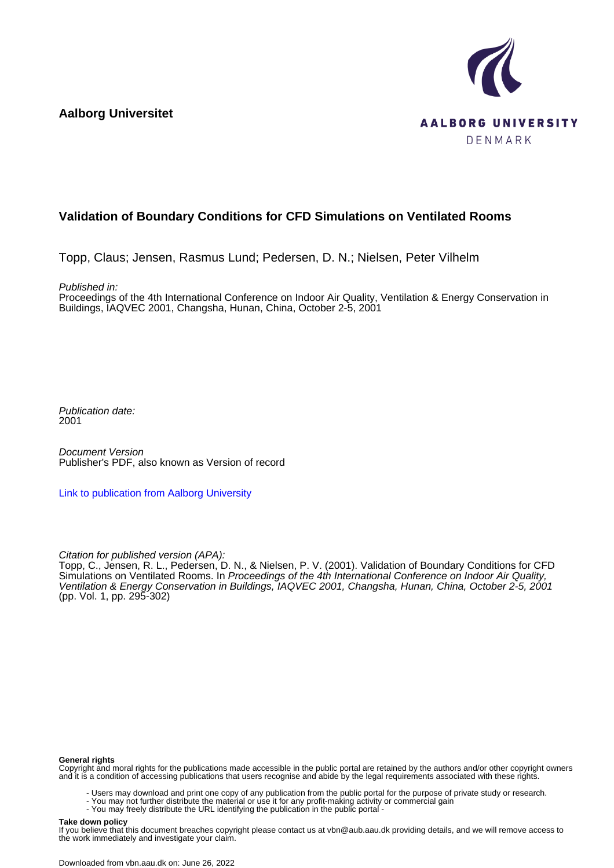**Aalborg Universitet**



## **Validation of Boundary Conditions for CFD Simulations on Ventilated Rooms**

Topp, Claus; Jensen, Rasmus Lund; Pedersen, D. N.; Nielsen, Peter Vilhelm

Published in:

Proceedings of the 4th International Conference on Indoor Air Quality, Ventilation & Energy Conservation in Buildings, IAQVEC 2001, Changsha, Hunan, China, October 2-5, 2001

Publication date: 2001

Document Version Publisher's PDF, also known as Version of record

[Link to publication from Aalborg University](https://vbn.aau.dk/en/publications/2407ef10-9c2e-11db-8ed6-000ea68e967b)

Citation for published version (APA):

Topp, C., Jensen, R. L., Pedersen, D. N., & Nielsen, P. V. (2001). Validation of Boundary Conditions for CFD Simulations on Ventilated Rooms. In Proceedings of the 4th International Conference on Indoor Air Quality, Ventilation & Energy Conservation in Buildings, IAQVEC 2001, Changsha, Hunan, China, October 2-5, 2001 (pp. Vol. 1, pp. 295-302)

#### **General rights**

Copyright and moral rights for the publications made accessible in the public portal are retained by the authors and/or other copyright owners and it is a condition of accessing publications that users recognise and abide by the legal requirements associated with these rights.

- Users may download and print one copy of any publication from the public portal for the purpose of private study or research.
- You may not further distribute the material or use it for any profit-making activity or commercial gain
	- You may freely distribute the URL identifying the publication in the public portal -

#### **Take down policy**

If you believe that this document breaches copyright please contact us at vbn@aub.aau.dk providing details, and we will remove access to the work immediately and investigate your claim.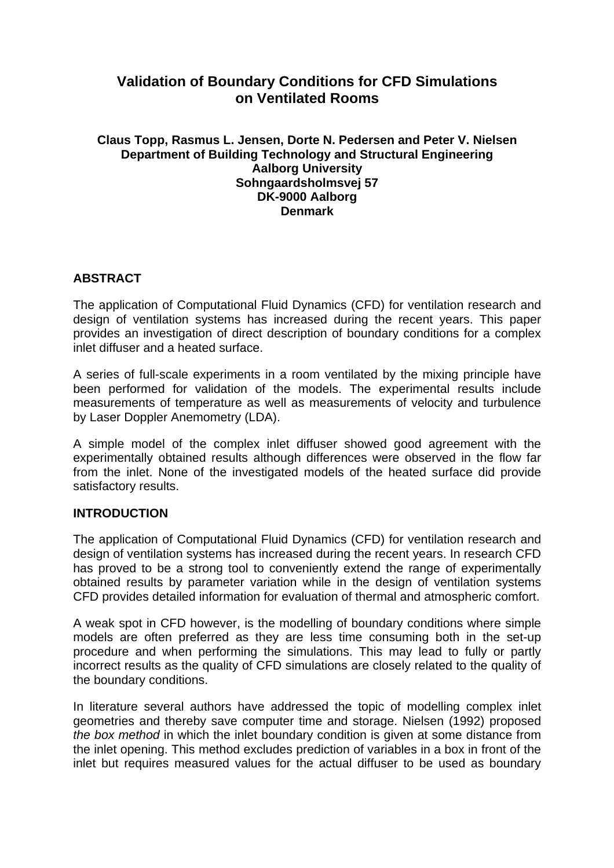# **Validation of Boundary Conditions for CFD Simulations on Ventilated Rooms**

## **Claus Topp, Rasmus L. Jensen, Dorte N. Pedersen and Peter V. Nielsen Department of Building Technology and Structural Engineering Aalborg University Sohngaardsholmsvej 57 DK-9000 Aalborg Denmark**

## **ABSTRACT**

The application of Computational Fluid Dynamics (CFD) for ventilation research and design of ventilation systems has increased during the recent years. This paper provides an investigation of direct description of boundary conditions for a complex inlet diffuser and a heated surface.

A series of full-scale experiments in a room ventilated by the mixing principle have been performed for validation of the models. The experimental results include measurements of temperature as well as measurements of velocity and turbulence by Laser Doppler Anemometry (LDA).

A simple model of the complex inlet diffuser showed good agreement with the experimentally obtained results although differences were observed in the flow far from the inlet. None of the investigated models of the heated surface did provide satisfactory results.

## **INTRODUCTION**

The application of Computational Fluid Dynamics (CFD) for ventilation research and design of ventilation systems has increased during the recent years. In research CFD has proved to be a strong tool to conveniently extend the range of experimentally obtained results by parameter variation while in the design of ventilation systems CFD provides detailed information for evaluation of thermal and atmospheric comfort.

A weak spot in CFD however, is the modelling of boundary conditions where simple models are often preferred as they are less time consuming both in the set-up procedure and when performing the simulations. This may lead to fully or partly incorrect results as the quality of CFD simulations are closely related to the quality of the boundary conditions.

In literature several authors have addressed the topic of modelling complex inlet geometries and thereby save computer time and storage. Nielsen (1992) proposed *the box method* in which the inlet boundary condition is given at some distance from the inlet opening. This method excludes prediction of variables in a box in front of the inlet but requires measured values for the actual diffuser to be used as boundary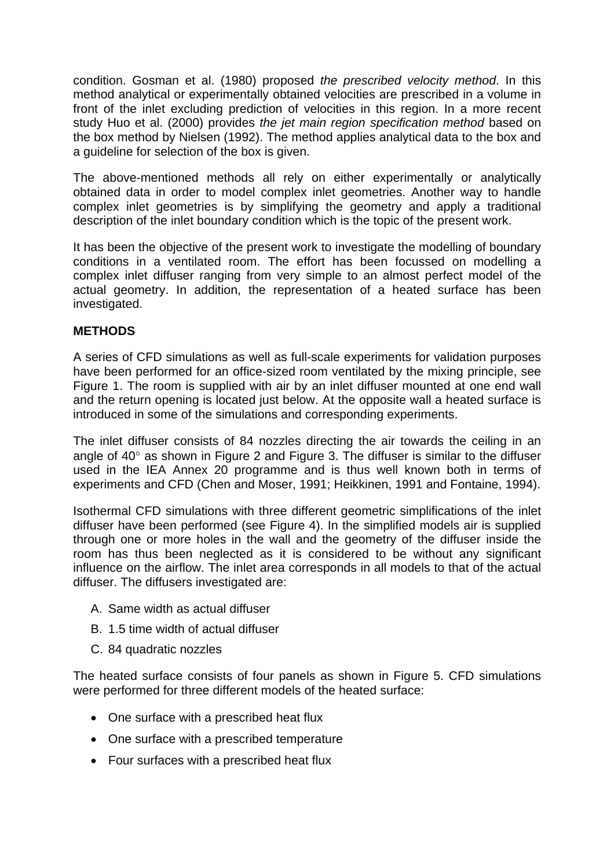condition. Gosman et al. (1980) proposed *the prescribed velocity method*. In this method analytical or experimentally obtained velocities are prescribed in a volume in front of the inlet excluding prediction of velocities in this region. In a more recent study Huo et al. (2000) provides *the jet main region specification method* based on the box method by Nielsen (1992). The method applies analytical data to the box and a guideline for selection of the box is given.

The above-mentioned methods all rely on either experimentally or analytically obtained data in order to model complex inlet geometries. Another way to handle complex inlet geometries is by simplifying the geometry and apply a traditional description of the inlet boundary condition which is the topic of the present work.

It has been the objective of the present work to investigate the modelling of boundary conditions in a ventilated room. The effort has been focussed on modelling a complex inlet diffuser ranging from very simple to an almost perfect model of the actual geometry. In addition, the representation of a heated surface has been investigated.

## **METHODS**

A series of CFD simulations as well as full-scale experiments for validation purposes have been performed for an office-sized room ventilated by the mixing principle, see Figure 1. The room is supplied with air by an inlet diffuser mounted at one end wall and the return opening is located just below. At the opposite wall a heated surface is introduced in some of the simulations and corresponding experiments.

The inlet diffuser consists of 84 nozzles directing the air towards the ceiling in an angle of 40° as shown in Figure 2 and Figure 3. The diffuser is similar to the diffuser used in the IEA Annex 20 programme and is thus well known both in terms of experiments and CFD (Chen and Moser, 1991; Heikkinen, 1991 and Fontaine, 1994).

Isothermal CFD simulations with three different geometric simplifications of the inlet diffuser have been performed (see Figure 4). In the simplified models air is supplied through one or more holes in the wall and the geometry of the diffuser inside the room has thus been neglected as it is considered to be without any significant influence on the airflow. The inlet area corresponds in all models to that of the actual diffuser. The diffusers investigated are:

- A. Same width as actual diffuser
- B. 1.5 time width of actual diffuser
- C. 84 quadratic nozzles

The heated surface consists of four panels as shown in Figure 5. CFD simulations were performed for three different models of the heated surface:

- One surface with a prescribed heat flux
- One surface with a prescribed temperature
- Four surfaces with a prescribed heat flux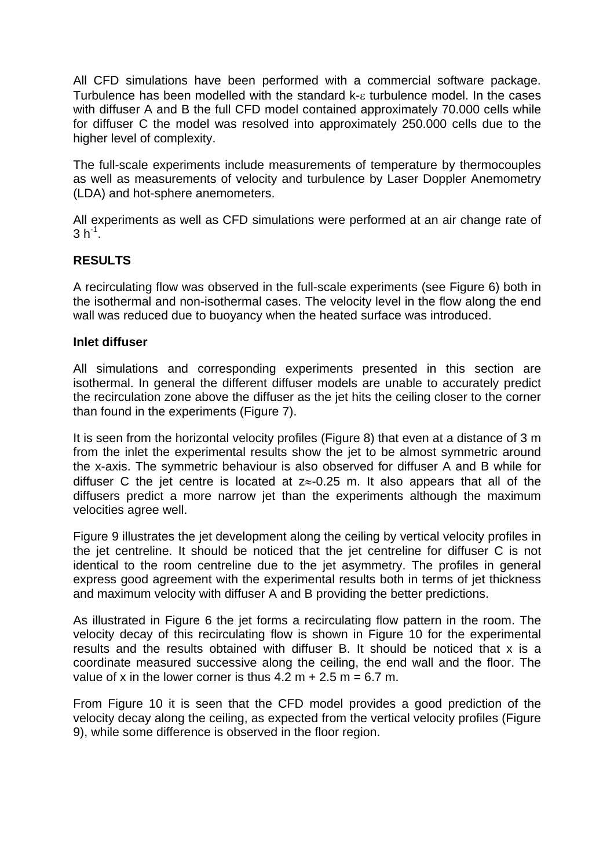All CFD simulations have been performed with a commercial software package. Turbulence has been modelled with the standard k-ε turbulence model. In the cases with diffuser A and B the full CFD model contained approximately 70.000 cells while for diffuser C the model was resolved into approximately 250.000 cells due to the higher level of complexity.

The full-scale experiments include measurements of temperature by thermocouples as well as measurements of velocity and turbulence by Laser Doppler Anemometry (LDA) and hot-sphere anemometers.

All experiments as well as CFD simulations were performed at an air change rate of  $3 h^{-1}$ .

## **RESULTS**

A recirculating flow was observed in the full-scale experiments (see Figure 6) both in the isothermal and non-isothermal cases. The velocity level in the flow along the end wall was reduced due to buoyancy when the heated surface was introduced.

#### **Inlet diffuser**

All simulations and corresponding experiments presented in this section are isothermal. In general the different diffuser models are unable to accurately predict the recirculation zone above the diffuser as the jet hits the ceiling closer to the corner than found in the experiments (Figure 7).

It is seen from the horizontal velocity profiles (Figure 8) that even at a distance of 3 m from the inlet the experimental results show the jet to be almost symmetric around the x-axis. The symmetric behaviour is also observed for diffuser A and B while for diffuser C the jet centre is located at  $z \approx -0.25$  m. It also appears that all of the diffusers predict a more narrow jet than the experiments although the maximum velocities agree well.

Figure 9 illustrates the jet development along the ceiling by vertical velocity profiles in the jet centreline. It should be noticed that the jet centreline for diffuser C is not identical to the room centreline due to the jet asymmetry. The profiles in general express good agreement with the experimental results both in terms of jet thickness and maximum velocity with diffuser A and B providing the better predictions.

As illustrated in Figure 6 the jet forms a recirculating flow pattern in the room. The velocity decay of this recirculating flow is shown in Figure 10 for the experimental results and the results obtained with diffuser B. It should be noticed that x is a coordinate measured successive along the ceiling, the end wall and the floor. The value of x in the lower corner is thus  $4.2 m + 2.5 m = 6.7 m$ .

From Figure 10 it is seen that the CFD model provides a good prediction of the velocity decay along the ceiling, as expected from the vertical velocity profiles (Figure 9), while some difference is observed in the floor region.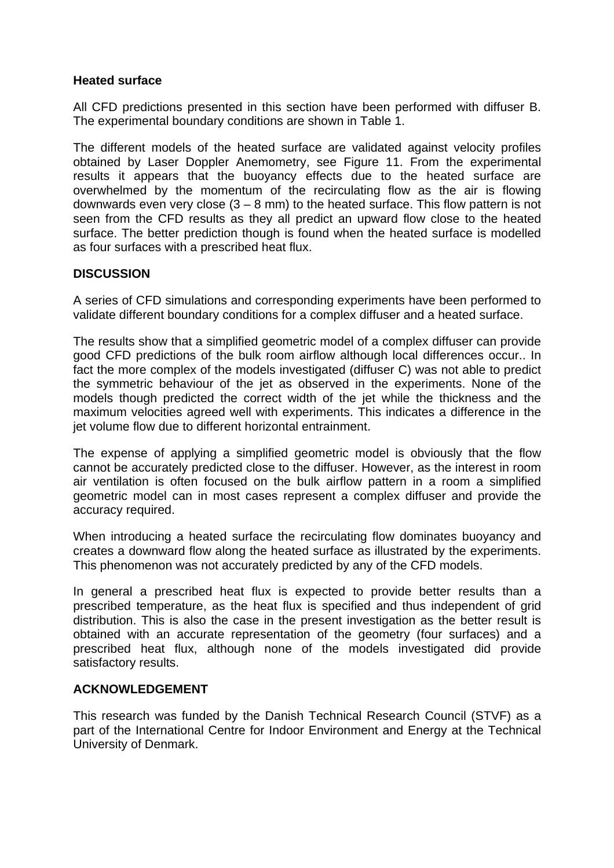## **Heated surface**

All CFD predictions presented in this section have been performed with diffuser B. The experimental boundary conditions are shown in Table 1.

The different models of the heated surface are validated against velocity profiles obtained by Laser Doppler Anemometry, see Figure 11. From the experimental results it appears that the buoyancy effects due to the heated surface are overwhelmed by the momentum of the recirculating flow as the air is flowing downwards even very close  $(3 - 8 \text{ mm})$  to the heated surface. This flow pattern is not seen from the CFD results as they all predict an upward flow close to the heated surface. The better prediction though is found when the heated surface is modelled as four surfaces with a prescribed heat flux.

## **DISCUSSION**

A series of CFD simulations and corresponding experiments have been performed to validate different boundary conditions for a complex diffuser and a heated surface.

The results show that a simplified geometric model of a complex diffuser can provide good CFD predictions of the bulk room airflow although local differences occur.. In fact the more complex of the models investigated (diffuser C) was not able to predict the symmetric behaviour of the jet as observed in the experiments. None of the models though predicted the correct width of the jet while the thickness and the maximum velocities agreed well with experiments. This indicates a difference in the jet volume flow due to different horizontal entrainment.

The expense of applying a simplified geometric model is obviously that the flow cannot be accurately predicted close to the diffuser. However, as the interest in room air ventilation is often focused on the bulk airflow pattern in a room a simplified geometric model can in most cases represent a complex diffuser and provide the accuracy required.

When introducing a heated surface the recirculating flow dominates buoyancy and creates a downward flow along the heated surface as illustrated by the experiments. This phenomenon was not accurately predicted by any of the CFD models.

In general a prescribed heat flux is expected to provide better results than a prescribed temperature, as the heat flux is specified and thus independent of grid distribution. This is also the case in the present investigation as the better result is obtained with an accurate representation of the geometry (four surfaces) and a prescribed heat flux, although none of the models investigated did provide satisfactory results.

#### **ACKNOWLEDGEMENT**

This research was funded by the Danish Technical Research Council (STVF) as a part of the International Centre for Indoor Environment and Energy at the Technical University of Denmark.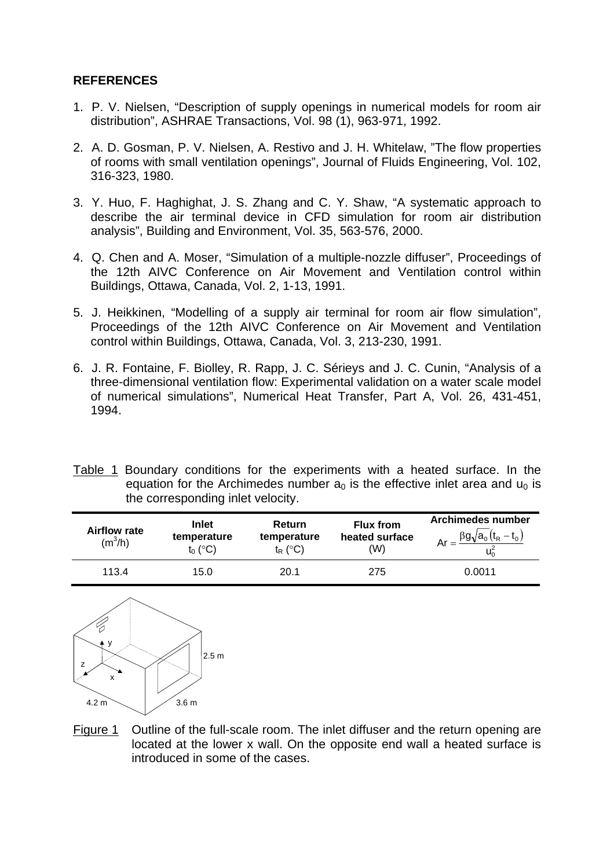## **REFERENCES**

- 1. P. V. Nielsen, "Description of supply openings in numerical models for room air distribution", ASHRAE Transactions, Vol. 98 (1), 963-971, 1992.
- 2. A. D. Gosman, P. V. Nielsen, A. Restivo and J. H. Whitelaw, "The flow properties of rooms with small ventilation openings", Journal of Fluids Engineering, Vol. 102, 316-323, 1980.
- 3. Y. Huo, F. Haghighat, J. S. Zhang and C. Y. Shaw, "A systematic approach to describe the air terminal device in CFD simulation for room air distribution analysis", Building and Environment, Vol. 35, 563-576, 2000.
- 4. Q. Chen and A. Moser, "Simulation of a multiple-nozzle diffuser", Proceedings of the 12th AIVC Conference on Air Movement and Ventilation control within Buildings, Ottawa, Canada, Vol. 2, 1-13, 1991.
- 5. J. Heikkinen, "Modelling of a supply air terminal for room air flow simulation", Proceedings of the 12th AIVC Conference on Air Movement and Ventilation control within Buildings, Ottawa, Canada, Vol. 3, 213-230, 1991.
- 6. J. R. Fontaine, F. Biolley, R. Rapp, J. C. Sérieys and J. C. Cunin, "Analysis of a three-dimensional ventilation flow: Experimental validation on a water scale model of numerical simulations", Numerical Heat Transfer, Part A, Vol. 26, 431-451, 1994.
- Table 1 Boundary conditions for the experiments with a heated surface. In the equation for the Archimedes number  $a_0$  is the effective inlet area and  $u_0$  is the corresponding inlet velocity.

| <b>Airflow rate</b><br>$(m^3/h)$ | <b>Inlet</b><br>temperature<br>$t_0$ (°C) | Return<br>temperature<br>$t_{R}$ (°C) | <b>Flux from</b><br>heated surface<br>(W) | <b>Archimedes number</b><br>$Ar = \frac{\beta g \sqrt{a_0 (t_R - t_0)}}{2}$ |
|----------------------------------|-------------------------------------------|---------------------------------------|-------------------------------------------|-----------------------------------------------------------------------------|
| 113.4                            | 15.0                                      | 20.1                                  | 275                                       | 0.0011                                                                      |



Figure 1 Outline of the full-scale room. The inlet diffuser and the return opening are located at the lower x wall. On the opposite end wall a heated surface is introduced in some of the cases.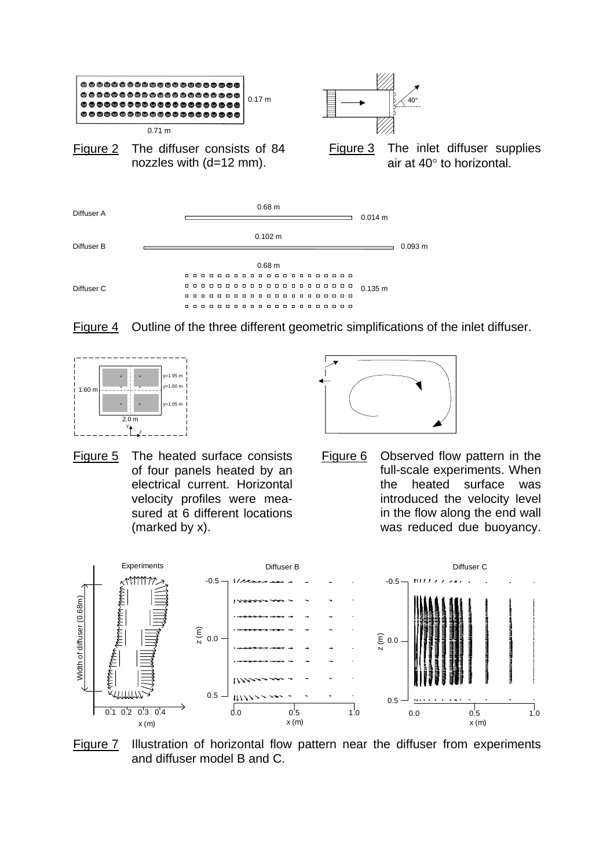









Figure 6 Observed flow pattern in the full-scale experiments. When the heated surface was introduced the velocity level in the flow along the end wall was reduced due buoyancy.



Figure 7 Illustration of horizontal flow pattern near the diffuser from experiments and diffuser model B and C.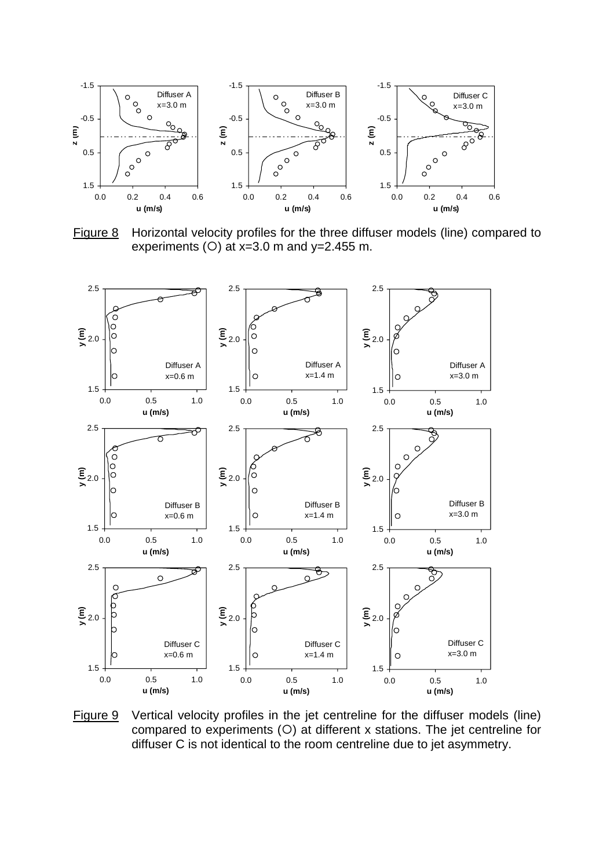

Figure 8 Horizontal velocity profiles for the three diffuser models (line) compared to experiments ( $O$ ) at x=3.0 m and y=2.455 m.



Figure 9 Vertical velocity profiles in the jet centreline for the diffuser models (line) compared to experiments  $(O)$  at different x stations. The jet centreline for diffuser C is not identical to the room centreline due to jet asymmetry.